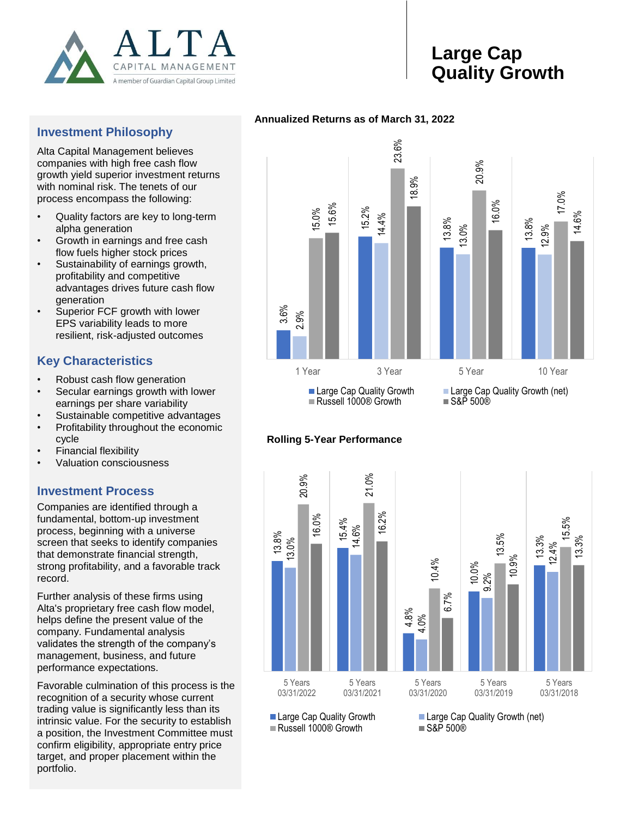

# **Large Cap Quality Growth**

## **Investment Philosophy**

Alta Capital Management believes companies with high free cash flow growth yield superior investment returns with nominal risk. The tenets of our process encompass the following:

- Quality factors are key to long-term alpha generation
- Growth in earnings and free cash flow fuels higher stock prices
- Sustainability of earnings growth, profitability and competitive advantages drives future cash flow generation
- Superior FCF growth with lower EPS variability leads to more resilient, risk-adjusted outcomes

# **Key Characteristics**

- Robust cash flow generation
- Secular earnings growth with lower earnings per share variability
- Sustainable competitive advantages
- Profitability throughout the economic cycle
- Financial flexibility
- Valuation consciousness

## **Investment Process**

Companies are identified through a fundamental, bottom-up investment process, beginning with a universe screen that seeks to identify companies that demonstrate financial strength, strong profitability, and a favorable track record.

Further analysis of these firms using Alta's proprietary free cash flow model, helps define the present value of the company. Fundamental analysis validates the strength of the company's management, business, and future performance expectations.

Favorable culmination of this process is the recognition of a security whose current trading value is significantly less than its intrinsic value. For the security to establish a position, the Investment Committee must confirm eligibility, appropriate entry price target, and proper placement within the portfolio.







 $\blacksquare$  Russell 1000® Growth  $\blacksquare$  S&P 500®